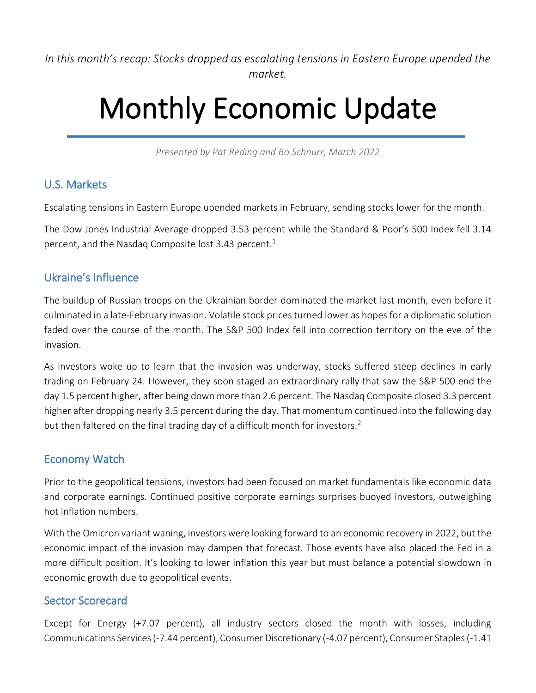*In this month's recap: Stocks dropped as escalating tensions in Eastern Europe upended the market.*

# Monthly Economic Update

*Presented by Pat Reding and Bo Schnurr, March 2022*

### U.S. Markets

Escalating tensions in Eastern Europe upended markets in February, sending stocks lower for the month.

The Dow Jones Industrial Average dropped 3.53 percent while the Standard & Poor's 500 Index fell 3.14 percent, and the Nasdaq Composite lost 3.43 percent. 1

#### Ukraine's Influence

The buildup of Russian troops on the Ukrainian border dominated the market last month, even before it culminated in a late-February invasion. Volatile stock prices turned lower as hopes for a diplomatic solution faded over the course of the month. The S&P 500 Index fell into correction territory on the eve of the invasion.

As investors woke up to learn that the invasion was underway, stocks suffered steep declines in early trading on February 24. However, they soon staged an extraordinary rally that saw the S&P 500 end the day 1.5 percent higher, after being down more than 2.6 percent. The Nasdaq Composite closed 3.3 percent higher after dropping nearly 3.5 percent during the day. That momentum continued into the following day but then faltered on the final trading day of a difficult month for investors.<sup>2</sup>

#### Economy Watch

Prior to the geopolitical tensions, investors had been focused on market fundamentals like economic data and corporate earnings. Continued positive corporate earnings surprises buoyed investors, outweighing hot inflation numbers.

With the Omicron variant waning, investors were looking forward to an economic recovery in 2022, but the economic impact of the invasion may dampen that forecast. Those events have also placed the Fed in a more difficult position. It's looking to lower inflation this year but must balance a potential slowdown in economic growth due to geopolitical events.

#### Sector Scorecard

Except for Energy (+7.07 percent), all industry sectors closed the month with losses, including Communications Services (-7.44 percent), Consumer Discretionary (-4.07 percent), Consumer Staples (-1.41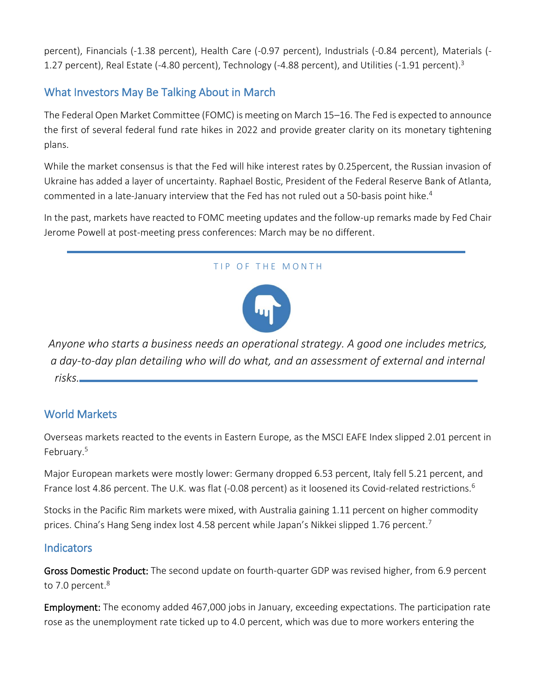percent), Financials (-1.38 percent), Health Care (-0.97 percent), Industrials (-0.84 percent), Materials (- 1.27 percent), Real Estate (-4.80 percent), Technology (-4.88 percent), and Utilities (-1.91 percent).<sup>3</sup>

## What Investors May Be Talking About in March

The Federal Open Market Committee (FOMC) is meeting on March 15–16. The Fed is expected to announce the first of several federal fund rate hikes in 2022 and provide greater clarity on its monetary tightening plans.

While the market consensus is that the Fed will hike interest rates by 0.25percent, the Russian invasion of Ukraine has added a layer of uncertainty. Raphael Bostic, President of the Federal Reserve Bank of Atlanta, commented in a late-January interview that the Fed has not ruled out a 50-basis point hike.<sup>4</sup>

In the past, markets have reacted to FOMC meeting updates and the follow-up remarks made by Fed Chair Jerome Powell at post-meeting press conferences: March may be no different.

#### TIP OF THE MONTH



*Anyone who starts a business needs an operational strategy. A good one includes metrics, a day-to-day plan detailing who will do what, and an assessment of external and internal risks.*

### World Markets

Overseas markets reacted to the events in Eastern Europe, as the MSCI EAFE Index slipped 2.01 percent in February.<sup>5</sup>

Major European markets were mostly lower: Germany dropped 6.53 percent, Italy fell 5.21 percent, and France lost 4.86 percent. The U.K. was flat (-0.08 percent) as it loosened its Covid-related restrictions.<sup>6</sup>

Stocks in the Pacific Rim markets were mixed, with Australia gaining 1.11 percent on higher commodity prices. China's Hang Seng index lost 4.58 percent while Japan's Nikkei slipped 1.76 percent.<sup>7</sup>

#### **Indicators**

Gross Domestic Product: The second update on fourth-quarter GDP was revised higher, from 6.9 percent to 7.0 percent.<sup>8</sup>

Employment: The economy added 467,000 jobs in January, exceeding expectations. The participation rate rose as the unemployment rate ticked up to 4.0 percent, which was due to more workers entering the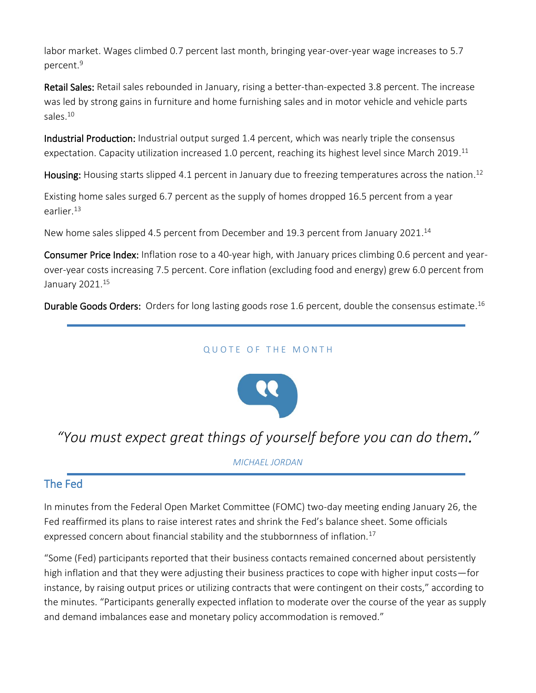labor market. Wages climbed 0.7 percent last month, bringing year-over-year wage increases to 5.7 percent. 9

Retail Sales: Retail sales rebounded in January, rising a better-than-expected 3.8 percent. The increase was led by strong gains in furniture and home furnishing sales and in motor vehicle and vehicle parts sales.<sup>10</sup>

Industrial Production: Industrial output surged 1.4 percent, which was nearly triple the consensus expectation. Capacity utilization increased 1.0 percent, reaching its highest level since March 2019.<sup>11</sup>

Housing: Housing starts slipped 4.1 percent in January due to freezing temperatures across the nation.<sup>12</sup>

Existing home sales surged 6.7 percent as the supply of homes dropped 16.5 percent from a year earlier. 13

New home sales slipped 4.5 percent from December and 19.3 percent from January 2021.<sup>14</sup>

Consumer Price Index: Inflation rose to a 40-year high, with January prices climbing 0.6 percent and yearover-year costs increasing 7.5 percent. Core inflation (excluding food and energy) grew 6.0 percent from January 2021. 15

Durable Goods Orders: Orders for long lasting goods rose 1.6 percent, double the consensus estimate.<sup>16</sup>

#### QUOTE OF THE MONTH



## *"You must expect great things of yourself before you can do them."*

*MICHAEL JORDAN*

#### The Fed

In minutes from the Federal Open Market Committee (FOMC) two-day meeting ending January 26, the Fed reaffirmed its plans to raise interest rates and shrink the Fed's balance sheet. Some officials expressed concern about financial stability and the stubbornness of inflation.<sup>17</sup>

"Some (Fed) participants reported that their business contacts remained concerned about persistently high inflation and that they were adjusting their business practices to cope with higher input costs—for instance, by raising output prices or utilizing contracts that were contingent on their costs," according to the minutes. "Participants generally expected inflation to moderate over the course of the year as supply and demand imbalances ease and monetary policy accommodation is removed."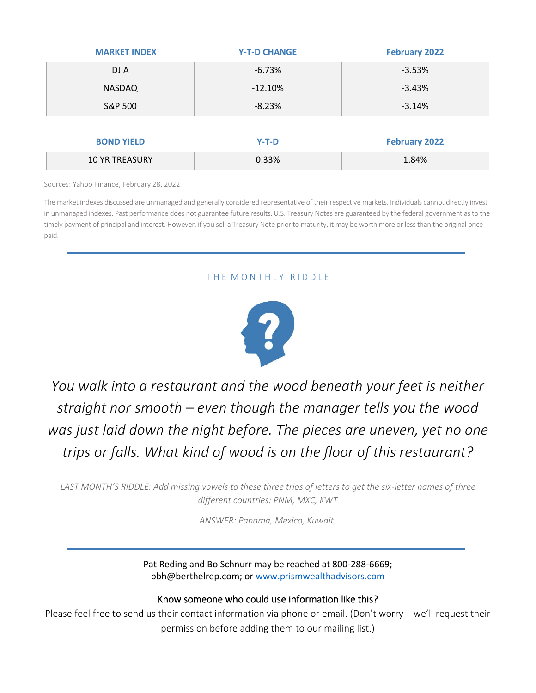| <b>MARKET INDEX</b>   | <b>Y-T-D CHANGE</b> | <b>February 2022</b> |
|-----------------------|---------------------|----------------------|
| <b>DJIA</b>           | $-6.73%$            | $-3.53%$             |
| <b>NASDAQ</b>         | $-12.10%$           | $-3.43%$             |
| S&P 500               | $-8.23%$            | $-3.14%$             |
|                       |                     |                      |
| <b>BOND YIELD</b>     | $Y-T-D$             | <b>February 2022</b> |
| <b>10 YR TREASURY</b> | 0.33%               | 1.84%                |

Sources: Yahoo Finance, February 28, 2022

The market indexes discussed are unmanaged and generally considered representative of their respective markets. Individuals cannot directly invest in unmanaged indexes. Past performance does not guarantee future results. U.S. Treasury Notes are guaranteed by the federal government as to the timely payment of principal and interest. However, if you sell a Treasury Note prior to maturity, it may be worth more or less than the original price paid.

#### THE MONTHLY RIDDLE



*You walk into a restaurant and the wood beneath your feet is neither straight nor smooth – even though the manager tells you the wood was just laid down the night before. The pieces are uneven, yet no one trips or falls. What kind of wood is on the floor of this restaurant?*

*LAST MONTH'S RIDDLE: Add missing vowels to these three trios of letters to get the six-letter names of three different countries: PNM, MXC, KWT*

*ANSWER: Panama, Mexico, Kuwait.*

Pat Reding and Bo Schnurr may be reached at 800-288-6669; pbh@berthelrep.com; or www.prismwealthadvisors.com

#### Know someone who could use information like this?

Please feel free to send us their contact information via phone or email. (Don't worry – we'll request their permission before adding them to our mailing list.)